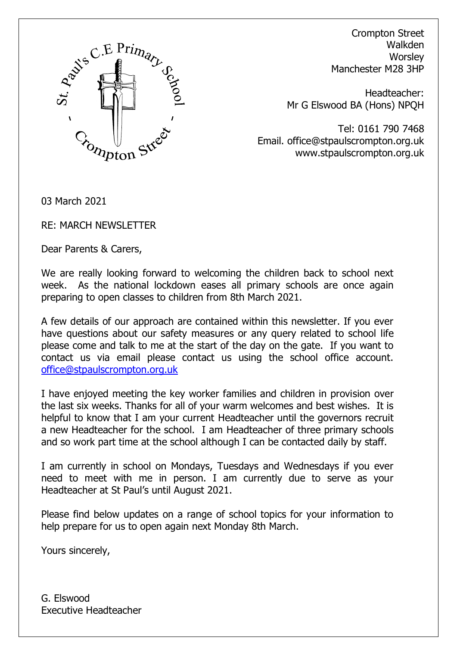

Crompton Street Walkden **Worsley** Manchester M28 3HP

Headteacher: Mr G Elswood BA (Hons) NPQH

Tel: 0161 790 7468 Email. office@stpaulscrompton.org.uk www.stpaulscrompton.org.uk

03 March 2021

RE: MARCH NEWSLETTER

Dear Parents & Carers,

We are really looking forward to welcoming the children back to school next week. As the national lockdown eases all primary schools are once again preparing to open classes to children from 8th March 2021.

A few details of our approach are contained within this newsletter. If you ever have questions about our safety measures or any query related to school life please come and talk to me at the start of the day on the gate. If you want to contact us via email please contact us using the school office account. [office@stpaulscrompton.org.uk](mailto:office@stpaulscrompton.org.uk)

I have enjoyed meeting the key worker families and children in provision over the last six weeks. Thanks for all of your warm welcomes and best wishes. It is helpful to know that I am your current Headteacher until the governors recruit a new Headteacher for the school. I am Headteacher of three primary schools and so work part time at the school although I can be contacted daily by staff.

I am currently in school on Mondays, Tuesdays and Wednesdays if you ever need to meet with me in person. I am currently due to serve as your Headteacher at St Paul's until August 2021.

Please find below updates on a range of school topics for your information to help prepare for us to open again next Monday 8th March.

Yours sincerely,

G. Elswood Executive Headteacher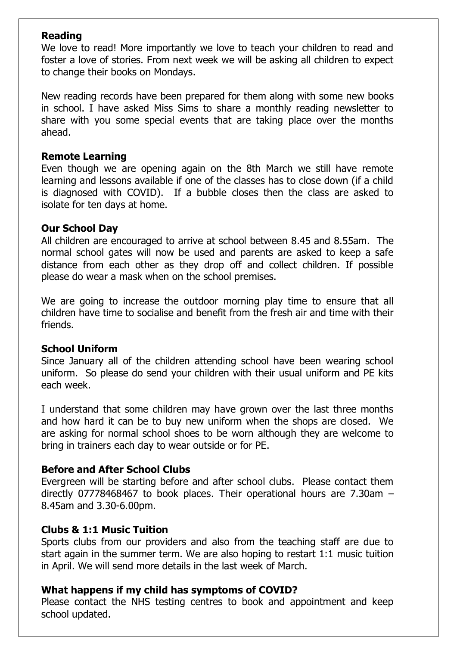# **Reading**

We love to read! More importantly we love to teach your children to read and foster a love of stories. From next week we will be asking all children to expect to change their books on Mondays.

New reading records have been prepared for them along with some new books in school. I have asked Miss Sims to share a monthly reading newsletter to share with you some special events that are taking place over the months ahead.

## **Remote Learning**

Even though we are opening again on the 8th March we still have remote learning and lessons available if one of the classes has to close down (if a child is diagnosed with COVID). If a bubble closes then the class are asked to isolate for ten days at home.

# **Our School Day**

All children are encouraged to arrive at school between 8.45 and 8.55am. The normal school gates will now be used and parents are asked to keep a safe distance from each other as they drop off and collect children. If possible please do wear a mask when on the school premises.

We are going to increase the outdoor morning play time to ensure that all children have time to socialise and benefit from the fresh air and time with their friends.

# **School Uniform**

Since January all of the children attending school have been wearing school uniform. So please do send your children with their usual uniform and PE kits each week.

I understand that some children may have grown over the last three months and how hard it can be to buy new uniform when the shops are closed. We are asking for normal school shoes to be worn although they are welcome to bring in trainers each day to wear outside or for PE.

# **Before and After School Clubs**

Evergreen will be starting before and after school clubs. Please contact them directly 07778468467 to book places. Their operational hours are 7.30am – 8.45am and 3.30-6.00pm.

# **Clubs & 1:1 Music Tuition**

Sports clubs from our providers and also from the teaching staff are due to start again in the summer term. We are also hoping to restart 1:1 music tuition in April. We will send more details in the last week of March.

# **What happens if my child has symptoms of COVID?**

Please contact the NHS testing centres to book and appointment and keep school updated.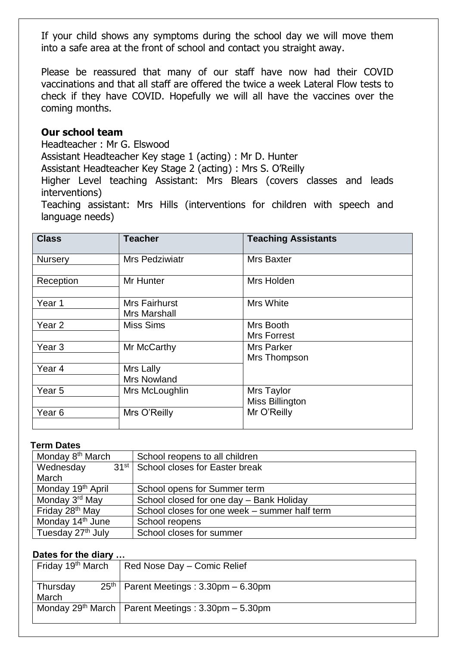If your child shows any symptoms during the school day we will move them into a safe area at the front of school and contact you straight away.

Please be reassured that many of our staff have now had their COVID vaccinations and that all staff are offered the twice a week Lateral Flow tests to check if they have COVID. Hopefully we will all have the vaccines over the coming months.

## **Our school team**

Headteacher : Mr G. Elswood

Assistant Headteacher Key stage 1 (acting) : Mr D. Hunter

Assistant Headteacher Key Stage 2 (acting) : Mrs S. O'Reilly

Higher Level teaching Assistant: Mrs Blears (covers classes and leads interventions)

Teaching assistant: Mrs Hills (interventions for children with speech and language needs)

| <b>Class</b>      | <b>Teacher</b>                  | <b>Teaching Assistants</b>      |
|-------------------|---------------------------------|---------------------------------|
| <b>Nursery</b>    | <b>Mrs Pedziwiatr</b>           | <b>Mrs Baxter</b>               |
| Reception         | Mr Hunter                       | Mrs Holden                      |
| Year 1            | Mrs Fairhurst<br>Mrs Marshall   | Mrs White                       |
| Year <sub>2</sub> | <b>Miss Sims</b>                | Mrs Booth<br><b>Mrs Forrest</b> |
| Year <sub>3</sub> | Mr McCarthy                     | Mrs Parker<br>Mrs Thompson      |
| Year 4            | Mrs Lally<br><b>Mrs Nowland</b> |                                 |
| Year <sub>5</sub> | Mrs McLoughlin                  | Mrs Taylor<br>Miss Billington   |
| Year <sub>6</sub> | Mrs O'Reilly                    | Mr O'Reilly                     |

#### **Term Dates**

| Monday 8 <sup>th</sup> March  | School reopens to all children                    |  |
|-------------------------------|---------------------------------------------------|--|
| Wednesday                     | 31 <sup>st</sup>   School closes for Easter break |  |
| March                         |                                                   |  |
| Monday 19 <sup>th</sup> April | School opens for Summer term                      |  |
| Monday 3rd May                | School closed for one day - Bank Holiday          |  |
| Friday 28 <sup>th</sup> May   | School closes for one week - summer half term     |  |
| Monday 14 <sup>th</sup> June  | School reopens                                    |  |
| Tuesday 27 <sup>th</sup> July | School closes for summer                          |  |

### **Dates for the diary …**

| Friday 19 <sup>th</sup> March | Red Nose Day - Comic Relief                             |
|-------------------------------|---------------------------------------------------------|
| Thursday<br>March             | $25th$ Parent Meetings : 3.30pm – 6.30pm                |
|                               | Monday $29th$ March   Parent Meetings : 3.30pm – 5.30pm |